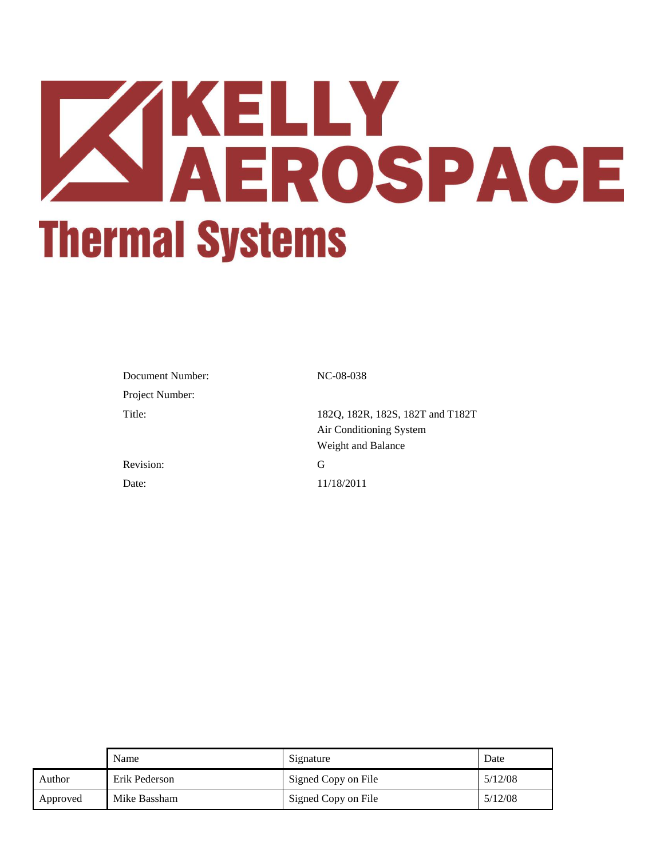# **XIKELLY<br>AEROSPACE Thermal Systems**

| N  |
|----|
|    |
| 18 |
| A  |
| V  |
| G  |
|    |

NC-08-038

182Q, 182R, 182S, 182T and T182T Air Conditioning System Weight and Balance Date: 11/18/2011

|          | Name          | Signature           | Date    |
|----------|---------------|---------------------|---------|
| Author   | Erik Pederson | Signed Copy on File | 5/12/08 |
| Approved | Mike Bassham  | Signed Copy on File | 5/12/08 |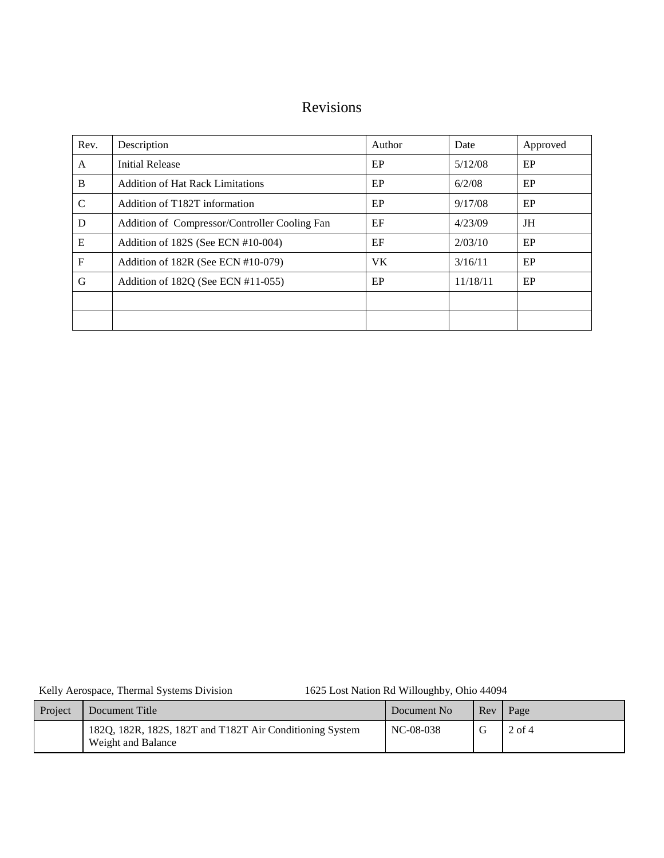# Revisions

| Rev. | Description                                   | Author    | Date     | Approved |
|------|-----------------------------------------------|-----------|----------|----------|
| A    | <b>Initial Release</b>                        | EP        | 5/12/08  | EP       |
| B    | <b>Addition of Hat Rack Limitations</b>       | EP        | 6/2/08   | EP       |
| C    | Addition of T182T information                 | EP        | 9/17/08  | EP       |
| D    | Addition of Compressor/Controller Cooling Fan | EF        | 4/23/09  | JH       |
| E    | Addition of 182S (See ECN #10-004)            | EF        | 2/03/10  | EP       |
| F    | Addition of 182R (See ECN #10-079)            | <b>VK</b> | 3/16/11  | EP       |
| G    | Addition of 182Q (See ECN #11-055)            | EP        | 11/18/11 | EP       |
|      |                                               |           |          |          |
|      |                                               |           |          |          |

Kelly Aerospace, Thermal Systems Division 1625 Lost Nation Rd Willoughby, Ohio 44094

| Project | Document Title                                                                 | Document No | Rev | Page     |
|---------|--------------------------------------------------------------------------------|-------------|-----|----------|
|         | 182Q, 182R, 182S, 182T and T182T Air Conditioning System<br>Weight and Balance | NC-08-038   |     | $2$ of 4 |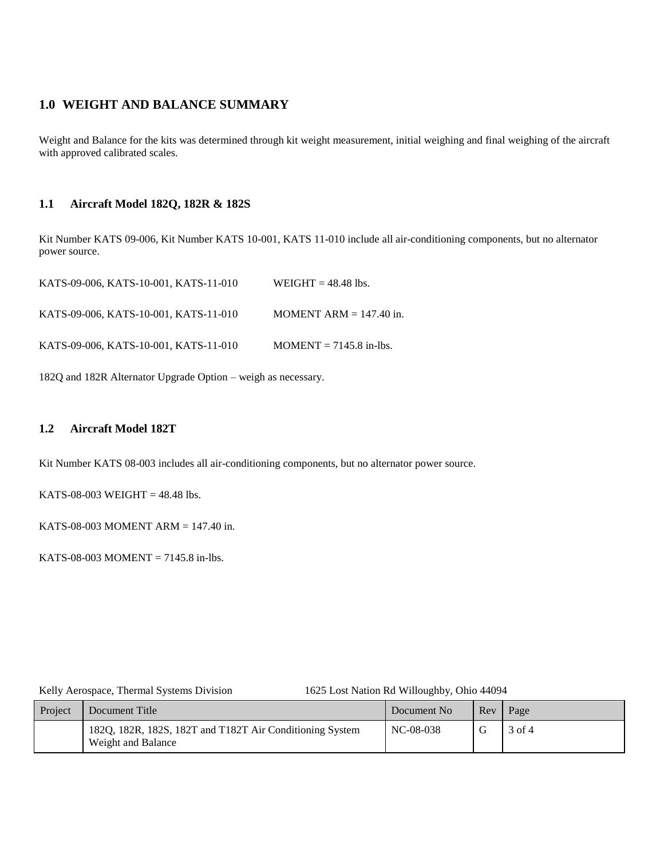## **1.0 WEIGHT AND BALANCE SUMMARY**

Weight and Balance for the kits was determined through kit weight measurement, initial weighing and final weighing of the aircraft with approved calibrated scales.

### **1.1 Aircraft Model 182Q, 182R & 182S**

Kit Number KATS 09-006, Kit Number KATS 10-001, KATS 11-010 include all air-conditioning components, but no alternator power source.

| KATS-09-006, KATS-10-001, KATS-11-010 | WEIGHT $= 48.48$ lbs.     |
|---------------------------------------|---------------------------|
| KATS-09-006. KATS-10-001. KATS-11-010 | MOMENT ARM $= 147.40$ in. |

KATS-09-006, KATS-10-001, KATS-11-010 MOMENT = 7145.8 in-lbs.

182Q and 182R Alternator Upgrade Option – weigh as necessary.

### **1.2 Aircraft Model 182T**

Kit Number KATS 08-003 includes all air-conditioning components, but no alternator power source.

KATS-08-003 WEIGHT =  $48.48$  lbs.

KATS-08-003 MOMENT ARM  $= 147.40$  in.

KATS-08-003 MOMENT = 7145.8 in-lbs.

ly Aerospace, Thermal Systems Division 1625 Lost Nation Rd Willoughby, Ohio 44094

| Project | Document Title                                                                 | Document No | Rev <sub>1</sub> | Page   |
|---------|--------------------------------------------------------------------------------|-------------|------------------|--------|
|         | 182Q, 182R, 182S, 182T and T182T Air Conditioning System<br>Weight and Balance | NC-08-038   |                  | 3 of 4 |